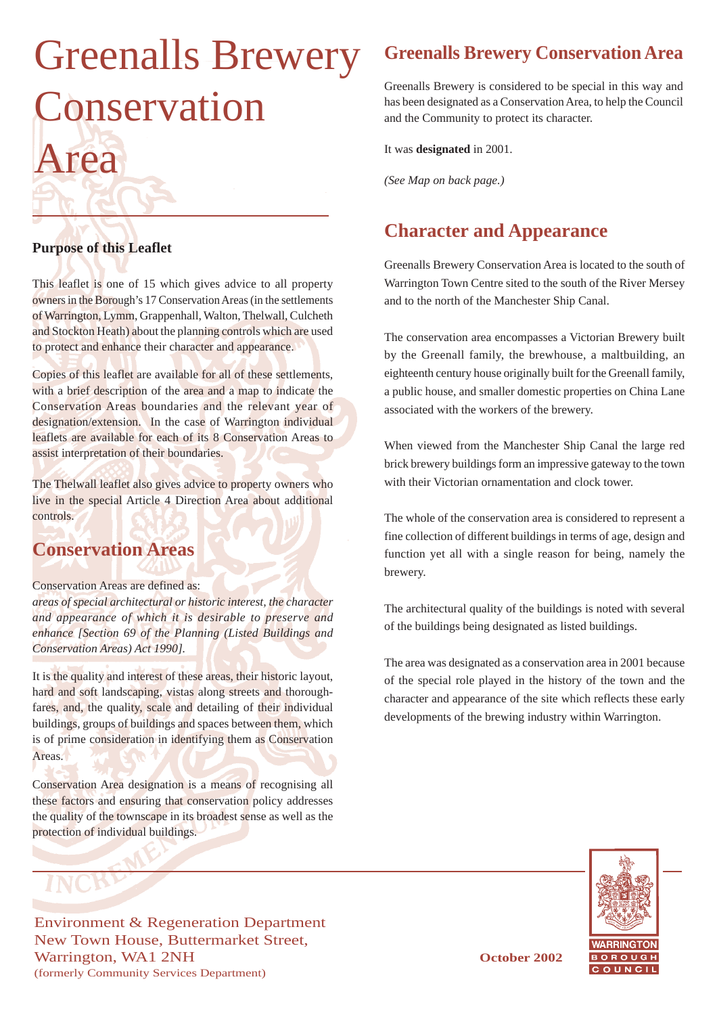# Greenalls Brewery Conservation Area

#### **Purpose of this Leaflet**

This leaflet is one of 15 which gives advice to all property owners in the Borough's 17 Conservation Areas (in the settlements of Warrington, Lymm, Grappenhall, Walton, Thelwall, Culcheth and Stockton Heath) about the planning controls which are used to protect and enhance their character and appearance.

Copies of this leaflet are available for all of these settlements, with a brief description of the area and a map to indicate the Conservation Areas boundaries and the relevant year of designation/extension. In the case of Warrington individual leaflets are available for each of its 8 Conservation Areas to assist interpretation of their boundaries.

The Thelwall leaflet also gives advice to property owners who live in the special Article 4 Direction Area about additional controls.

## **Conservation Areas**

#### Conservation Areas are defined as:

*areas of special architectural or historic interest, the character and appearance of which it is desirable to preserve and enhance [Section 69 of the Planning (Listed Buildings and Conservation Areas) Act 1990].*

It is the quality and interest of these areas, their historic layout, hard and soft landscaping, vistas along streets and thoroughfares, and, the quality, scale and detailing of their individual buildings, groups of buildings and spaces between them, which is of prime consideration in identifying them as Conservation Areas.

Conservation Area designation is a means of recognising all these factors and ensuring that conservation policy addresses the quality of the townscape in its broadest sense as well as the protection of individual buildings.

Environment & Regeneration Department New Town House, Buttermarket Street, Warrington, WA1 2NH **October 2002** (formerly Community Services Department)

### **Greenalls Brewery Conservation Area**

Greenalls Brewery is considered to be special in this way and has been designated as a Conservation Area, to help the Council and the Community to protect its character.

It was **designated** in 2001.

*(See Map on back page.)*

#### **Character and Appearance**

Greenalls Brewery Conservation Area is located to the south of Warrington Town Centre sited to the south of the River Mersey and to the north of the Manchester Ship Canal.

The conservation area encompasses a Victorian Brewery built by the Greenall family, the brewhouse, a maltbuilding, an eighteenth century house originally built for the Greenall family, a public house, and smaller domestic properties on China Lane associated with the workers of the brewery.

When viewed from the Manchester Ship Canal the large red brick brewery buildings form an impressive gateway to the town with their Victorian ornamentation and clock tower.

The whole of the conservation area is considered to represent a fine collection of different buildings in terms of age, design and function yet all with a single reason for being, namely the brewery.

The architectural quality of the buildings is noted with several of the buildings being designated as listed buildings.

The area was designated as a conservation area in 2001 because of the special role played in the history of the town and the character and appearance of the site which reflects these early developments of the brewing industry within Warrington.

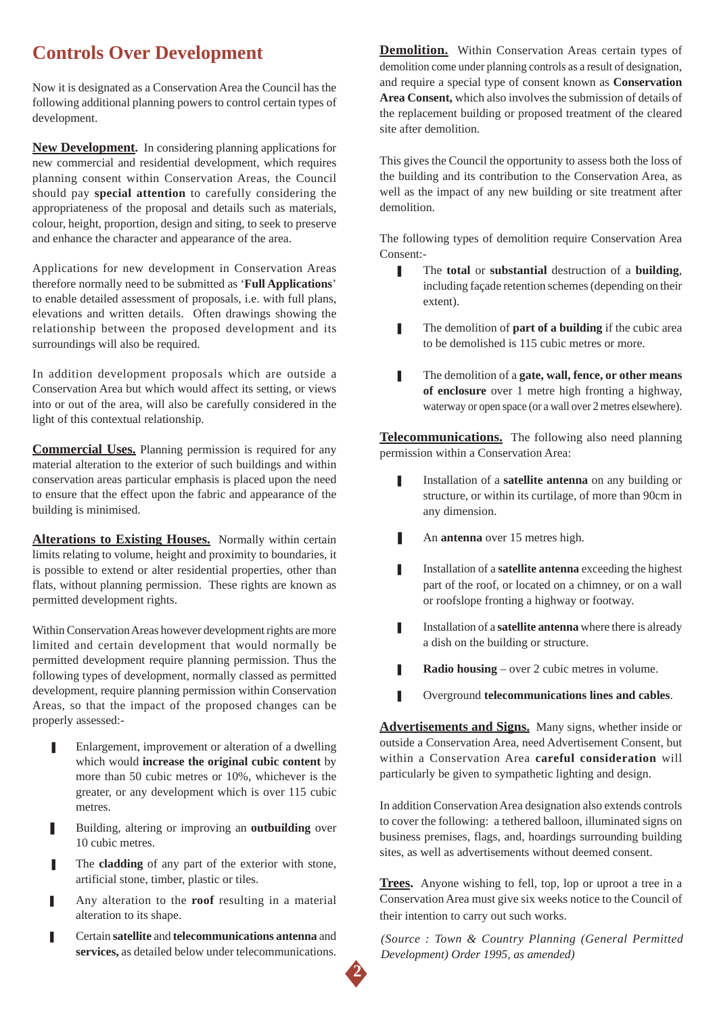#### **Controls Over Development**

Now it is designated as a Conservation Area the Council has the following additional planning powers to control certain types of development.

**New Development.** In considering planning applications for new commercial and residential development, which requires planning consent within Conservation Areas, the Council should pay **special attention** to carefully considering the appropriateness of the proposal and details such as materials, colour, height, proportion, design and siting, to seek to preserve and enhance the character and appearance of the area.

Applications for new development in Conservation Areas therefore normally need to be submitted as '**Full Applications**' to enable detailed assessment of proposals, i.e. with full plans, elevations and written details. Often drawings showing the relationship between the proposed development and its surroundings will also be required.

In addition development proposals which are outside a Conservation Area but which would affect its setting, or views into or out of the area, will also be carefully considered in the light of this contextual relationship.

**Commercial Uses.** Planning permission is required for any material alteration to the exterior of such buildings and within conservation areas particular emphasis is placed upon the need to ensure that the effect upon the fabric and appearance of the building is minimised.

**Alterations to Existing Houses.** Normally within certain limits relating to volume, height and proximity to boundaries, it is possible to extend or alter residential properties, other than flats, without planning permission. These rights are known as permitted development rights.

Within Conservation Areas however development rights are more limited and certain development that would normally be permitted development require planning permission. Thus the following types of development, normally classed as permitted development, require planning permission within Conservation Areas, so that the impact of the proposed changes can be properly assessed:-

- Enlargement, improvement or alteration of a dwelling which would **increase the original cubic content** by more than 50 cubic metres or 10%, whichever is the greater, or any development which is over 115 cubic metres.
- Building, altering or improving an **outbuilding** over 10 cubic metres.
- The **cladding** of any part of the exterior with stone, artificial stone, timber, plastic or tiles.
- Any alteration to the **roof** resulting in a material alteration to its shape.
- ❚ Certain **satellite** and **telecommunications antenna** and **services,** as detailed below under telecommunications.

**Demolition.** Within Conservation Areas certain types of demolition come under planning controls as a result of designation, and require a special type of consent known as **Conservation Area Consent,** which also involves the submission of details of the replacement building or proposed treatment of the cleared site after demolition.

This gives the Council the opportunity to assess both the loss of the building and its contribution to the Conservation Area, as well as the impact of any new building or site treatment after demolition.

The following types of demolition require Conservation Area Consent:-

- The **total** or **substantial** destruction of a **building**, including façade retention schemes (depending on their extent).
- **■** The demolition of **part of a building** if the cubic area to be demolished is 115 cubic metres or more.
- **■** The demolition of a **gate, wall, fence, or other means of enclosure** over 1 metre high fronting a highway, waterway or open space (or a wall over 2 metres elsewhere).

**Telecommunications.** The following also need planning permission within a Conservation Area:

- **I** Installation of a **satellite antenna** on any building or structure, or within its curtilage, of more than 90cm in any dimension.
- An **antenna** over 15 metres high.
- **I** Installation of a **satellite antenna** exceeding the highest part of the roof, or located on a chimney, or on a wall or roofslope fronting a highway or footway.
- **I** Installation of a **satellite antenna** where there is already a dish on the building or structure.
- **Radio housing** over 2 cubic metres in volume.
- ❚ Overground **telecommunications lines and cables**.

**Advertisements and Signs.** Many signs, whether inside or outside a Conservation Area, need Advertisement Consent, but within a Conservation Area **careful consideration** will particularly be given to sympathetic lighting and design.

In addition Conservation Area designation also extends controls to cover the following: a tethered balloon, illuminated signs on business premises, flags, and, hoardings surrounding building sites, as well as advertisements without deemed consent.

**Trees.** Anyone wishing to fell, top, lop or uproot a tree in a Conservation Area must give six weeks notice to the Council of their intention to carry out such works.

*(Source : Town & Country Planning (General Permitted Development) Order 1995, as amended)*

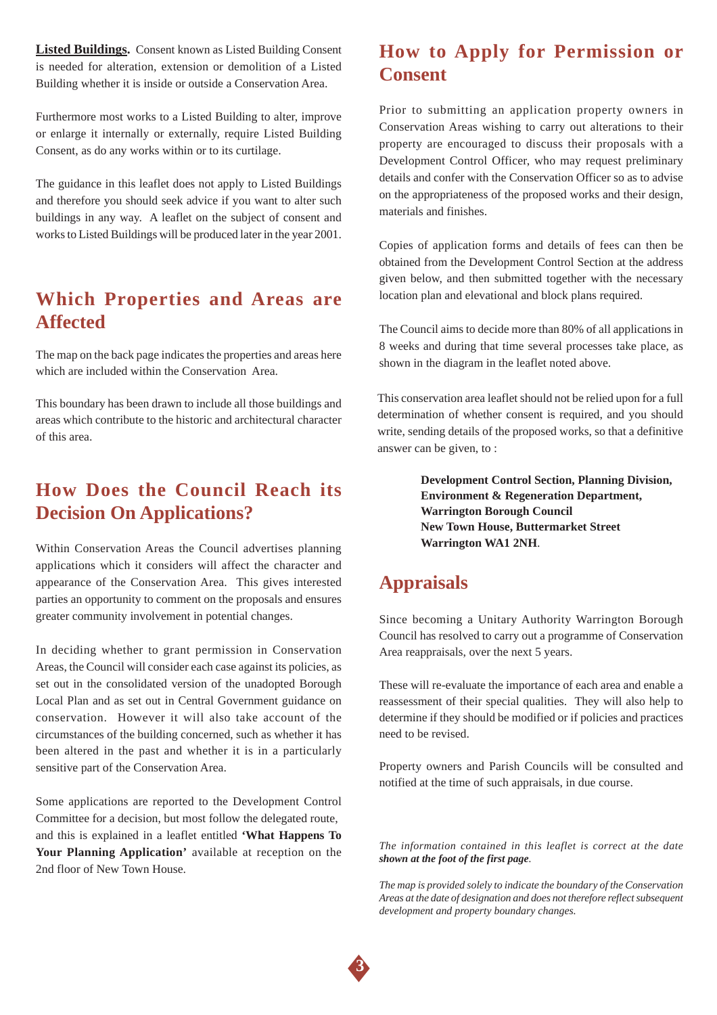**Listed Buildings.** Consent known as Listed Building Consent is needed for alteration, extension or demolition of a Listed Building whether it is inside or outside a Conservation Area.

Furthermore most works to a Listed Building to alter, improve or enlarge it internally or externally, require Listed Building Consent, as do any works within or to its curtilage.

The guidance in this leaflet does not apply to Listed Buildings and therefore you should seek advice if you want to alter such buildings in any way. A leaflet on the subject of consent and works to Listed Buildings will be produced later in the year 2001.

#### **Which Properties and Areas are Affected**

The map on the back page indicates the properties and areas here which are included within the Conservation Area.

This boundary has been drawn to include all those buildings and areas which contribute to the historic and architectural character of this area.

#### **How Does the Council Reach its Decision On Applications?**

Within Conservation Areas the Council advertises planning applications which it considers will affect the character and appearance of the Conservation Area. This gives interested parties an opportunity to comment on the proposals and ensures greater community involvement in potential changes.

In deciding whether to grant permission in Conservation Areas, the Council will consider each case against its policies, as set out in the consolidated version of the unadopted Borough Local Plan and as set out in Central Government guidance on conservation. However it will also take account of the circumstances of the building concerned, such as whether it has been altered in the past and whether it is in a particularly sensitive part of the Conservation Area.

Some applications are reported to the Development Control Committee for a decision, but most follow the delegated route, and this is explained in a leaflet entitled **'What Happens To Your Planning Application'** available at reception on the 2nd floor of New Town House.

#### **How to Apply for Permission or Consent**

Prior to submitting an application property owners in Conservation Areas wishing to carry out alterations to their property are encouraged to discuss their proposals with a Development Control Officer, who may request preliminary details and confer with the Conservation Officer so as to advise on the appropriateness of the proposed works and their design, materials and finishes.

Copies of application forms and details of fees can then be obtained from the Development Control Section at the address given below, and then submitted together with the necessary location plan and elevational and block plans required.

The Council aims to decide more than 80% of all applications in 8 weeks and during that time several processes take place, as shown in the diagram in the leaflet noted above.

This conservation area leaflet should not be relied upon for a full determination of whether consent is required, and you should write, sending details of the proposed works, so that a definitive answer can be given, to :

> **Development Control Section, Planning Division, Environment & Regeneration Department, Warrington Borough Council New Town House, Buttermarket Street Warrington WA1 2NH**.

#### **Appraisals**

Since becoming a Unitary Authority Warrington Borough Council has resolved to carry out a programme of Conservation Area reappraisals, over the next 5 years.

These will re-evaluate the importance of each area and enable a reassessment of their special qualities. They will also help to determine if they should be modified or if policies and practices need to be revised.

Property owners and Parish Councils will be consulted and notified at the time of such appraisals, in due course.

*The information contained in this leaflet is correct at the date shown at the foot of the first page.*

*The map is provided solely to indicate the boundary of the Conservation Areas at the date of designation and does not therefore reflect subsequent development and property boundary changes.*